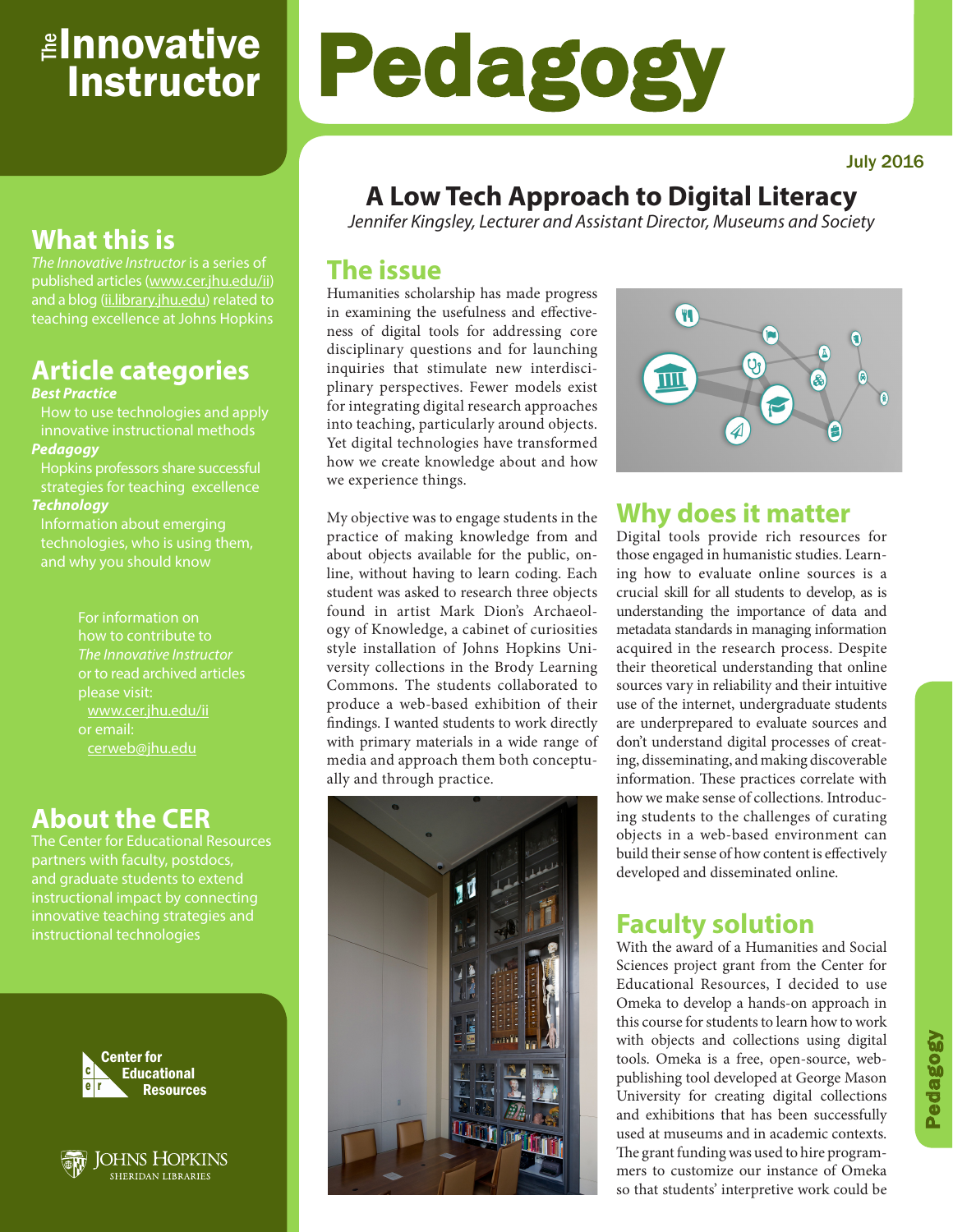# <sub>≝l</sub>nnovative **Instructor**

# Pedagogy

# **What this is**

*The Innovative Instructor* is a series of published articles (www.cer.jhu.edu/ii) and a blog (ii.library.jhu.edu) related to teaching excellence at Johns Hopkins

# **Article categories**

#### *Best Practice*

How to use technologies and apply innovative instructional methods *Pedagogy*

Hopkins professors share successful strategies for teaching excellence *Technology*

Information about emerging technologies, who is using them,

> For information on how to contribute to *The Innovative Instructor* or to read archived articles please visit: www.cer.jhu.edu/ii or email: cerweb@jhu.edu

## **About the CER**

The Center for Educational Resources partners with faculty, postdocs, and graduate students to extend innovative teaching strategies and instructional technologies





## **A Low Tech Approach to Digital Literacy**

*Jennifer Kingsley, Lecturer and Assistant Director, Museums and Society*

## **The issue**

Humanities scholarship has made progress in examining the usefulness and effectiveness of digital tools for addressing core disciplinary questions and for launching inquiries that stimulate new interdisciplinary perspectives. Fewer models exist for integrating digital research approaches into teaching, particularly around objects. Yet digital technologies have transformed how we create knowledge about and how we experience things.

My objective was to engage students in the



## **Why does it matter**

Digital tools provide rich resources for those engaged in humanistic studies. Learning how to evaluate online sources is a crucial skill for all students to develop, as is understanding the importance of data and metadata standards in managing information acquired in the research process. Despite their theoretical understanding that online sources vary in reliability and their intuitive use of the internet, undergraduate students are underprepared to evaluate sources and don't understand digital processes of creating, disseminating, and making discoverable information. These practices correlate with how we make sense of collections. Introducing students to the challenges of curating objects in a web-based environment can build their sense of how content is effectively developed and disseminated online.

### **Faculty solution**

With the award of a Humanities and Social Sciences project grant from the Center for Educational Resources, I decided to use Omeka to develop a hands-on approach in this course for students to learn how to work with objects and collections using digital tools. Omeka is a free, open-source, webpublishing tool developed at George Mason University for creating digital collections and exhibitions that has been successfully used at museums and in academic contexts. The grant funding was used to hire programmers to customize our instance of Omeka so that students' interpretive work could be

practice of making knowledge from and about objects available for the public, online, without having to learn coding. Each student was asked to research three objects found in artist Mark Dion's Archaeology of Knowledge, a cabinet of curiosities style installation of Johns Hopkins University collections in the Brody Learning Commons. The students collaborated to produce a web-based exhibition of their findings. I wanted students to work directly with primary materials in a wide range of media and approach them both conceptually and through practice.